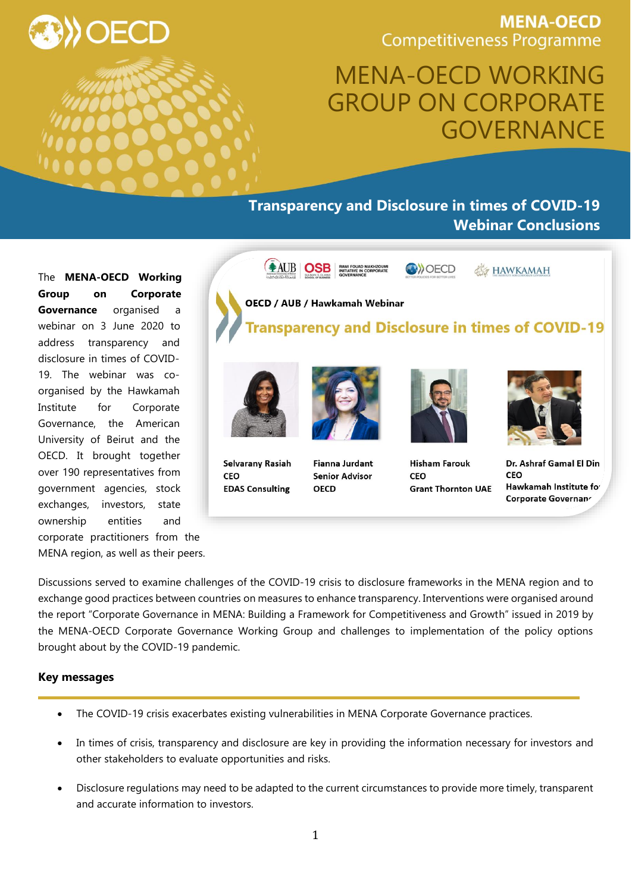**MENA-OECD Competitiveness Programme** 

# MENA-OECD WORKING GROUP ON CORPORATE GOVERNANCE

# **Transparency and Disclosure in times of COVID-19 Webinar Conclusions**

The **MENA-OECD Working Group on Corporate Governance** organised a webinar on 3 June 2020 to address transparency and disclosure in times of COVID-19. The webinar was coorganised by the Hawkamah Institute for Corporate Governance, the American University of Beirut and the OECD. It brought together over 190 representatives from government agencies, stock exchanges, investors, state ownership entities and corporate practitioners from the

MENA region, as well as their peers.



CEO **EDAS Consulting** 

**Fianna Jurdant Senior Advisor** OFCD

**Hisham Farouk** CFO **Grant Thornton UAE** 

Dr. Ashraf Gamal El Din CEO Hawkamah Institute for Corporate Governanr

Discussions served to examine challenges of the COVID-19 crisis to disclosure frameworks in the MENA region and to exchange good practices between countries on measures to enhance transparency. Interventions were organised around the report "Corporate Governance in MENA: Building a Framework for Competitiveness and Growth" issued in 2019 by the MENA-OECD Corporate Governance Working Group and challenges to implementation of the policy options brought about by the COVID-19 pandemic.

#### **Key messages**

- The COVID-19 crisis exacerbates existing vulnerabilities in MENA Corporate Governance practices.
- In times of crisis, transparency and disclosure are key in providing the information necessary for investors and other stakeholders to evaluate opportunities and risks.
- Disclosure regulations may need to be adapted to the current circumstances to provide more timely, transparent and accurate information to investors.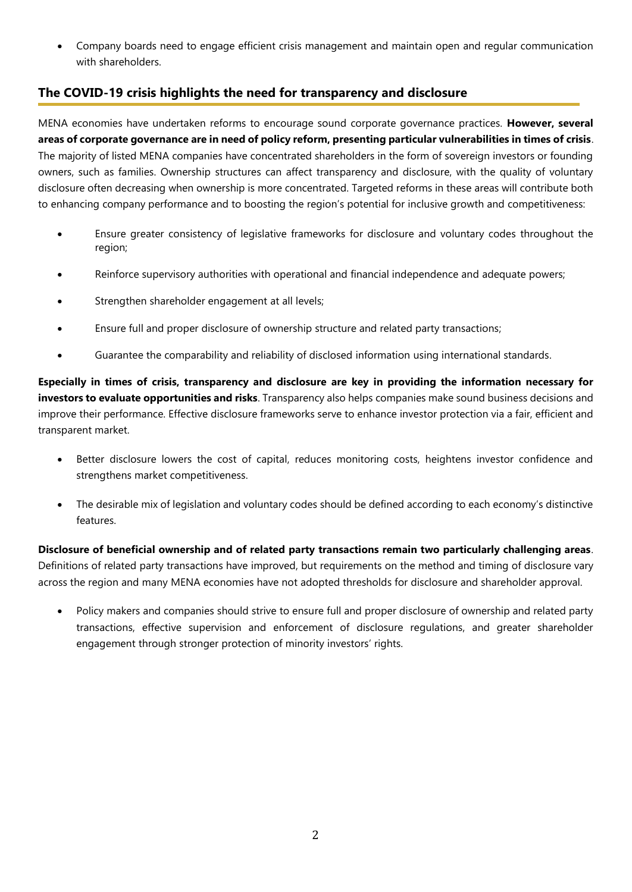Company boards need to engage efficient crisis management and maintain open and regular communication with shareholders.

## **The COVID-19 crisis highlights the need for transparency and disclosure**

MENA economies have undertaken reforms to encourage sound corporate governance practices. **However, several areas of corporate governance are in need of policy reform, presenting particular vulnerabilities in times of crisis**. The majority of listed MENA companies have concentrated shareholders in the form of sovereign investors or founding owners, such as families. Ownership structures can affect transparency and disclosure, with the quality of voluntary disclosure often decreasing when ownership is more concentrated. Targeted reforms in these areas will contribute both to enhancing company performance and to boosting the region's potential for inclusive growth and competitiveness:

- Ensure greater consistency of legislative frameworks for disclosure and voluntary codes throughout the region;
- Reinforce supervisory authorities with operational and financial independence and adequate powers;
- Strengthen shareholder engagement at all levels;
- Ensure full and proper disclosure of ownership structure and related party transactions;
- Guarantee the comparability and reliability of disclosed information using international standards.

**Especially in times of crisis, transparency and disclosure are key in providing the information necessary for investors to evaluate opportunities and risks**. Transparency also helps companies make sound business decisions and improve their performance. Effective disclosure frameworks serve to enhance investor protection via a fair, efficient and transparent market.

- Better disclosure lowers the cost of capital, reduces monitoring costs, heightens investor confidence and strengthens market competitiveness.
- The desirable mix of legislation and voluntary codes should be defined according to each economy's distinctive features.

**Disclosure of beneficial ownership and of related party transactions remain two particularly challenging areas**. Definitions of related party transactions have improved, but requirements on the method and timing of disclosure vary across the region and many MENA economies have not adopted thresholds for disclosure and shareholder approval.

 Policy makers and companies should strive to ensure full and proper disclosure of ownership and related party transactions, effective supervision and enforcement of disclosure regulations, and greater shareholder engagement through stronger protection of minority investors' rights.